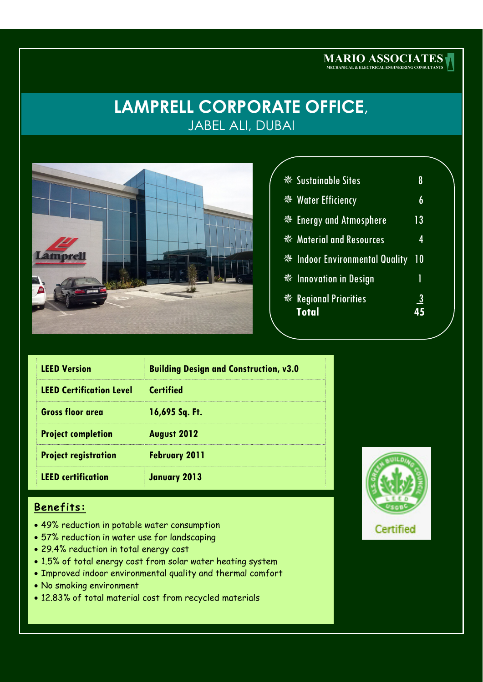# **LAMPRELL CORPORATE OFFICE**, JABEL ALI, DUBAI



|  | ※ Sustainable Sites                                    | 8              |  |
|--|--------------------------------------------------------|----------------|--|
|  | <b>※ Water Efficiency</b>                              | 6              |  |
|  | <sup>‰</sup> Energy and Atmosphere                     | 13             |  |
|  | <b><i><u><b>SSE</b></u></i></b> Material and Resources | 4              |  |
|  | <b>※ Indoor Environmental Quality</b>                  | 10             |  |
|  | <b><i><u><b>W</b></u></i></b> Innovation in Design     | 1              |  |
|  | ※ Regional Priorities<br><b>Total</b>                  | $\overline{3}$ |  |
|  |                                                        |                |  |

**MARIO ASSOCIATES MECHANICAL & ELECTRICAL ENGINEERING CONSULTANTS**

| <b>LEED Version</b>             | <b>Building Design and Construction, v3.0</b> |  |  |
|---------------------------------|-----------------------------------------------|--|--|
| <b>LEED Certification Level</b> | <b>Certified</b>                              |  |  |
| <b>Gross floor area</b>         | 16,695 Sq. Ft.                                |  |  |
| <b>Project completion</b>       | <b>August 2012</b>                            |  |  |
| <b>Project registration</b>     | <b>February 2011</b>                          |  |  |
| <b>LEED</b> certification       | <b>January 2013</b>                           |  |  |

### **Benefits:**

- 49% reduction in potable water consumption
- 57% reduction in water use for landscaping
- 29.4% reduction in total energy cost
- 1.5% of total energy cost from solar water heating system
- Improved indoor environmental quality and thermal comfort
- No smoking environment
- 12.83% of total material cost from recycled materials